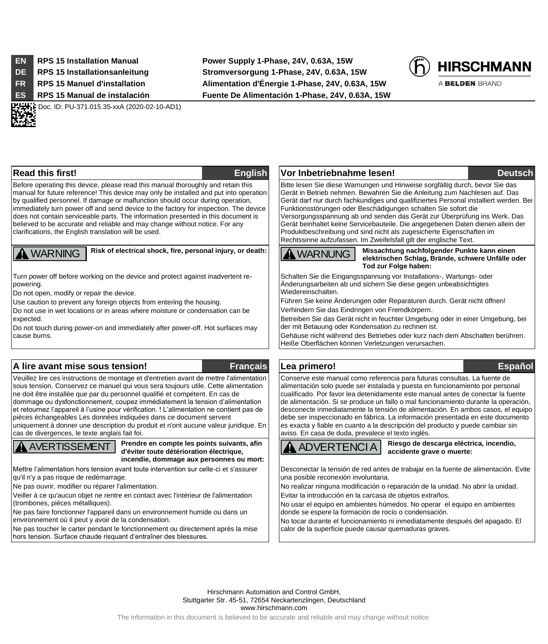.

**EN RPS 15 Installation Manual Power Supply 1-Phase, 24V, 0.63A, 15W DE RPS 15 Installationsanleitung Stromversorgung 1-Phase, 24V, 0.63A, 15W FR RPS 15 Manuel d'installation Alimentation d'Énergie 1-Phase, 24V, 0.63A, 15W ES RPS 15 Manual de instalación Fuente De Alimentación 1-Phase, 24V, 0.63A, 15W**



A BELDEN BRAND

**HH POC. ID: PU-371.015.35-xxA (2020-02-10-AD1)** 

Before operating this device, please read this manual thoroughly and retain this manual for future reference! This device may only be installed and put into operation by qualified personnel. If damage or malfunction should occur during operation, immediately turn power off and send device to the factory for inspection. The device does not contain serviceable parts. The information presented in this document is believed to be accurate and reliable and may change without notice. For any clarifications, the English translation will be used.

# **A** WARNING

**Risk of electrical shock, fire, personal injury, or death:**

Turn power off before working on the device and protect against inadvertent repowering.

Do not open, modify or repair the device.

Use caution to prevent any foreign objects from entering the housing.

Do not use in wet locations or in areas where moisture or condensation can be expected.

Do not touch during power-on and immediately after power-off. Hot surfaces may cause burns.

## **A lire avant mise sous tension! Français Lea primero! Español**

Veuillez lire ces instructions de montage et d'entretien avant de mettre l'alimentation sous tension. Conservez ce manuel qui vous sera toujours utile. Cette alimentation ne doit être installée que par du personnel qualifié et compétent. En cas de dommage ou dysfonctionnement, coupez immédiatement la tension d'alimentation et retournez l'appareil à l'usine pour vérification. ! L'alimentation ne contient pas de pièces échangeables Les données indiquées dans ce document servent uniquement à donner une description du produit et n'ont aucune valeur juridique. En cas de divergences, le texte anglais fait foi.

AVERTISSEMENT

**Prendre en compte les points suivants, afin d'éviter toute détérioration électrique, incendie, dommage aux personnes ou mort:**

Mettre l'alimentation hors tension avant toute intervention sur celle-ci et s'assurer qu'il n'y a pas risque de redémarrage.

Ne pas ouvrir, modifier ou réparer l'alimentation.

Veiller à ce qu'aucun objet ne rentre en contact avec l'intérieur de l'alimentation (trombones, pièces métalliques).

Ne pas faire fonctionner l'appareil dans un environnement humide ou dans un environnement où il peut y avoir de la condensation.

Ne pas toucher le carter pendant le fonctionnement ou directement après la mise hors tension. Surface chaude risquant d'entraîner des blessures.

**Read this first! English Vor Inbetriebnahme lesen! Deutsch** Bitte lesen Sie diese Warnungen und Hinweise sorgfältig durch, bevor Sie das Gerät in Betrieb nehmen. Bewahren Sie die Anleitung zum Nachlesen auf. Das Gerät darf nur durch fachkundiges und qualifiziertes Personal installiert werden. Bei

Funktionsstörungen oder Beschädigungen schalten Sie sofort die Versorgungsspannung ab und senden das Gerät zur Überprüfung ins Werk. Das Gerät beinhaltet keine Servicebauteile. Die angegebenen Daten dienen allein der Produktbeschreibung und sind nicht als zugesicherte Eigenschaften im Rechtssinne aufzufassen. Im Zweifelsfall gilt der englische Text.

**WARNUNG** 

**Missachtung nachfolgender Punkte kann einen elektrischen Schlag, Brände, schwere Unfälle oder Tod zur Folge haben:**

Schalten Sie die Eingangsspannung vor Installations-, Wartungs- oder Änderungsarbeiten ab und sichern Sie diese gegen unbeabsichtigtes Wiedereinschalten.

Führen Sie keine Änderungen oder Reparaturen durch. Gerät nicht öffnen! Verhindern Sie das Eindringen von Fremdkörpern.

Betreiben Sie das Gerät nicht in feuchter Umgebung oder in einer Umgebung, bei der mit Betauung oder Kondensation zu rechnen ist.

Gehäuse nicht während des Betriebes oder kurz nach dem Abschalten berühren. Heiße Oberflächen können Verletzungen verursachen.

Conserve este manual como referencia para futuras consultas. La fuente de alimentación solo puede ser instalada y puesta en funcionamiento por personal cualificado. Por favor lea detenidamente este manual antes de conectar la fuente de alimentación. Si se produce un fallo o mal funcionamiento durante la operación, desconecte inmediatamente la tensión de alimentación. En ambos casos, el equipo debe ser inspeccionado en fábrica. La información presentada en este documento es exacta y fiable en cuanto a la descripción del producto y puede cambiar sin aviso. En casa de duda, prevalece el texto inglés.

ADVERTENCIA

**Riesgo de descarga eléctrica, incendio, accidente grave o muerte:**

Desconectar la tensión de red antes de trabajar en la fuente de alimentación. Evite una posible reconexión involuntaria.

No realizar ninguna modificación o reparación de la unidad. No abrir la unidad. Evitar la introducción en la carcasa de objetos extraños.

No usar el equipo en ambientes húmedos. No operar el equipo en ambientes donde se espere la formación de rocío o condensación.

No tocar durante el funcionamiento ni inmediatamente después del apagado. El calor de la superficie puede causar quemaduras graves.

Hirschmann Automation and Control GmbH, Stuttgarter Str. 45-51, 72654 Neckartenzlingen, Deutschland www.hirschmann.com